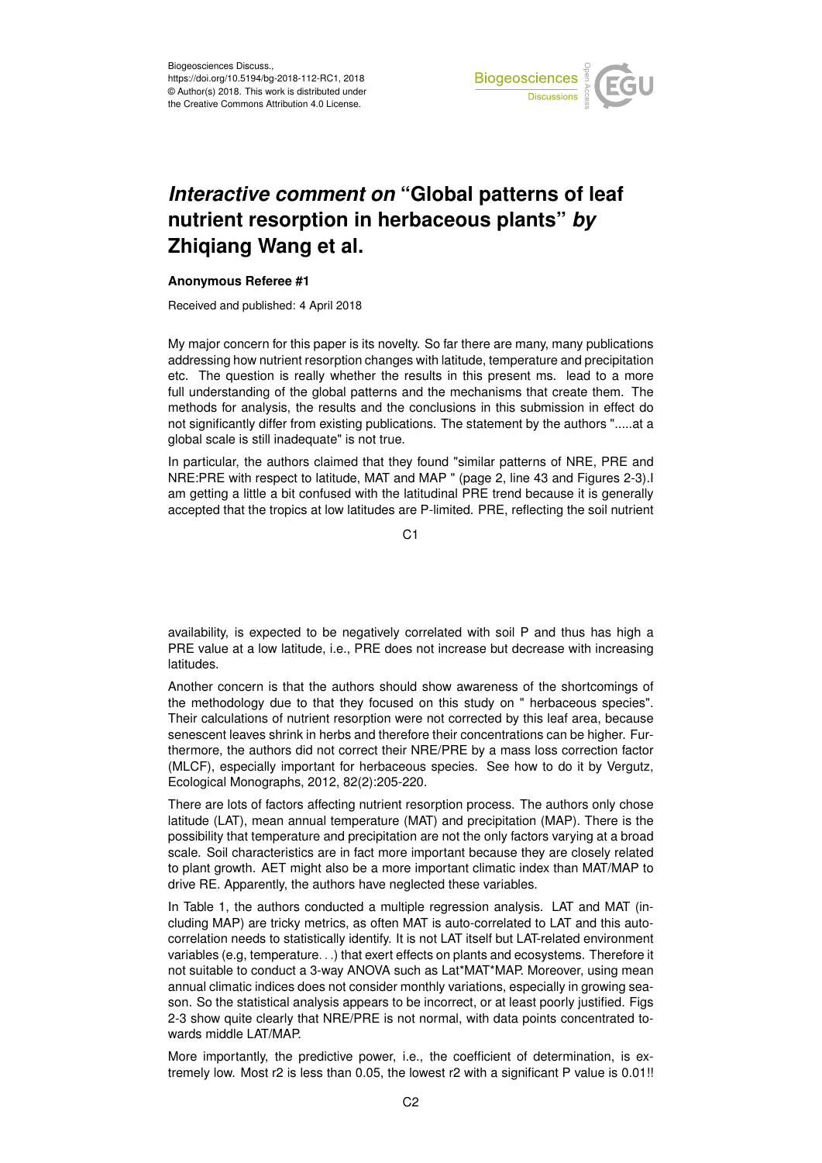

## *Interactive comment on* **"Global patterns of leaf nutrient resorption in herbaceous plants"** *by* **Zhiqiang Wang et al.**

## **Anonymous Referee #1**

Received and published: 4 April 2018

My major concern for this paper is its novelty. So far there are many, many publications addressing how nutrient resorption changes with latitude, temperature and precipitation etc. The question is really whether the results in this present ms. lead to a more full understanding of the global patterns and the mechanisms that create them. The methods for analysis, the results and the conclusions in this submission in effect do not significantly differ from existing publications. The statement by the authors ".....at a global scale is still inadequate" is not true.

In particular, the authors claimed that they found "similar patterns of NRE, PRE and NRE:PRE with respect to latitude, MAT and MAP " (page 2, line 43 and Figures 2-3).I am getting a little a bit confused with the latitudinal PRE trend because it is generally accepted that the tropics at low latitudes are P-limited. PRE, reflecting the soil nutrient

C<sub>1</sub>

availability, is expected to be negatively correlated with soil P and thus has high a PRE value at a low latitude, i.e., PRE does not increase but decrease with increasing latitudes.

Another concern is that the authors should show awareness of the shortcomings of the methodology due to that they focused on this study on " herbaceous species". Their calculations of nutrient resorption were not corrected by this leaf area, because senescent leaves shrink in herbs and therefore their concentrations can be higher. Furthermore, the authors did not correct their NRE/PRE by a mass loss correction factor (MLCF), especially important for herbaceous species. See how to do it by Vergutz, Ecological Monographs, 2012, 82(2):205-220.

There are lots of factors affecting nutrient resorption process. The authors only chose latitude (LAT), mean annual temperature (MAT) and precipitation (MAP). There is the possibility that temperature and precipitation are not the only factors varying at a broad scale. Soil characteristics are in fact more important because they are closely related to plant growth. AET might also be a more important climatic index than MAT/MAP to drive RE. Apparently, the authors have neglected these variables.

In Table 1, the authors conducted a multiple regression analysis. LAT and MAT (including MAP) are tricky metrics, as often MAT is auto-correlated to LAT and this autocorrelation needs to statistically identify. It is not LAT itself but LAT-related environment variables (e.g, temperature. . .) that exert effects on plants and ecosystems. Therefore it not suitable to conduct a 3-way ANOVA such as Lat\*MAT\*MAP. Moreover, using mean annual climatic indices does not consider monthly variations, especially in growing season. So the statistical analysis appears to be incorrect, or at least poorly justified. Figs 2-3 show quite clearly that NRE/PRE is not normal, with data points concentrated towards middle LAT/MAP.

More importantly, the predictive power, i.e., the coefficient of determination, is extremely low. Most r2 is less than 0.05, the lowest r2 with a significant P value is 0.01!!